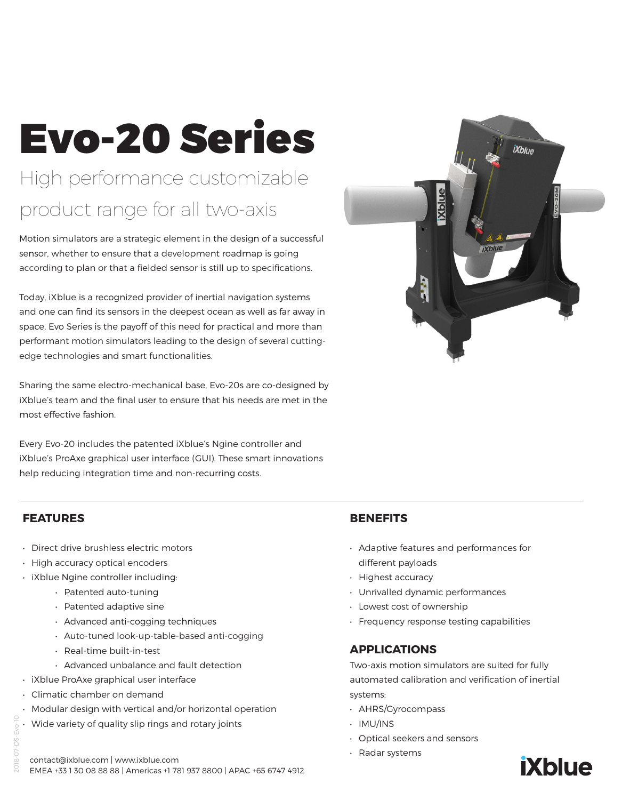# Evo-20 Series High performance customizable product range for all two-axis

Motion simulators are a strategic element in the design of a successful sensor, whether to ensure that a development roadmap is going according to plan or that a fielded sensor is still up to specifications.

Today, iXblue is a recognized provider of inertial navigation systems and one can find its sensors in the deepest ocean as well as far away in space. Evo Series is the payoff of this need for practical and more than performant motion simulators leading to the design of several cuttingedge technologies and smart functionalities.

Sharing the same electro-mechanical base, Evo-20s are co-designed by iXblue's team and the final user to ensure that his needs are met in the most effective fashion.

Every Evo-20 includes the patented iXblue's Ngine controller and iXblue's ProAxe graphical user interface (GUI). These smart innovations help reducing integration time and non-recurring costs.

# **FEATURES**

2018-07-DS-Evo-10

- Direct drive brushless electric motors
- High accuracy optical encoders
- iXblue Ngine controller including:
	- Patented auto-tuning
	- Patented adaptive sine
	- Advanced anti-cogging techniques
	- Auto-tuned look-up-table-based anti-cogging
	- Real-time built-in-test
	- Advanced unbalance and fault detection
- iXblue ProAxe graphical user interface
- Climatic chamber on demand
- Modular design with vertical and/or horizontal operation
- Wide variety of quality slip rings and rotary joints



# **BENEFITS**

- Adaptive features and performances for different payloads
- Highest accuracy
- Unrivalled dynamic performances
- Lowest cost of ownership
- Frequency response testing capabilities

# **APPLICATIONS**

Two-axis motion simulators are suited for fully automated calibration and verification of inertial systems:

- AHRS/Gyrocompass
- IMU/INS
- Optical seekers and sensors
- Radar systems



contact@ixblue.com | www.ixblue.com EMEA +33 1 30 08 88 88 | Americas +1 781 937 8800 | APAC +65 6747 4912